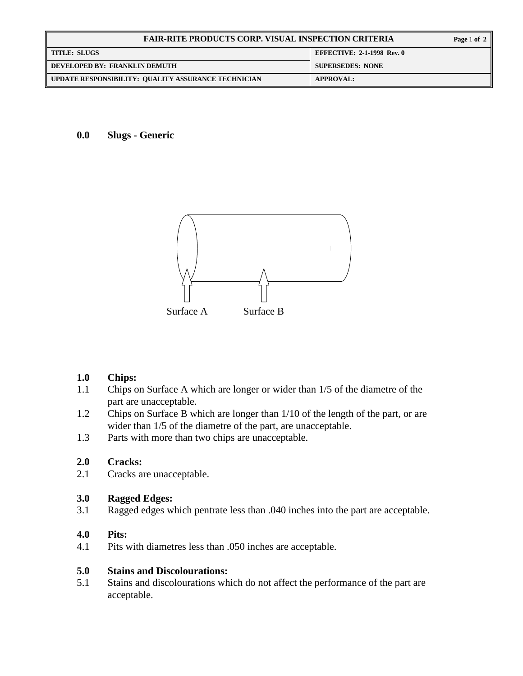| <b>FAIR-RITE PRODUCTS CORP. VISUAL INSPECTION CRITERIA</b> |                                   |
|------------------------------------------------------------|-----------------------------------|
| <b>TITLE: SLUGS</b>                                        | <b>EFFECTIVE: 2-1-1998 Rev. 0</b> |
| DEVELOPED BY: FRANKLIN DEMUTH                              | <b>SUPERSEDES: NONE</b>           |
| UPDATE RESPONSIBILITY: QUALITY ASSURANCE TECHNICIAN        | <b>APPROVAL:</b>                  |

**0.0 Slugs - Generic** 



# **1.0 Chips:**

- 1.1 Chips on Surface A which are longer or wider than 1/5 of the diametre of the part are unacceptable.
- 1.2 Chips on Surface B which are longer than 1/10 of the length of the part, or are wider than 1/5 of the diametre of the part, are unacceptable.
- 1.3 Parts with more than two chips are unacceptable.

# **2.0 Cracks:**

2.1 Cracks are unacceptable.

### **3.0 Ragged Edges:**

3.1 Ragged edges which pentrate less than .040 inches into the part are acceptable.

#### **4.0 Pits:**

4.1 Pits with diametres less than .050 inches are acceptable.

#### **5.0 Stains and Discolourations:**

5.1 Stains and discolourations which do not affect the performance of the part are acceptable.